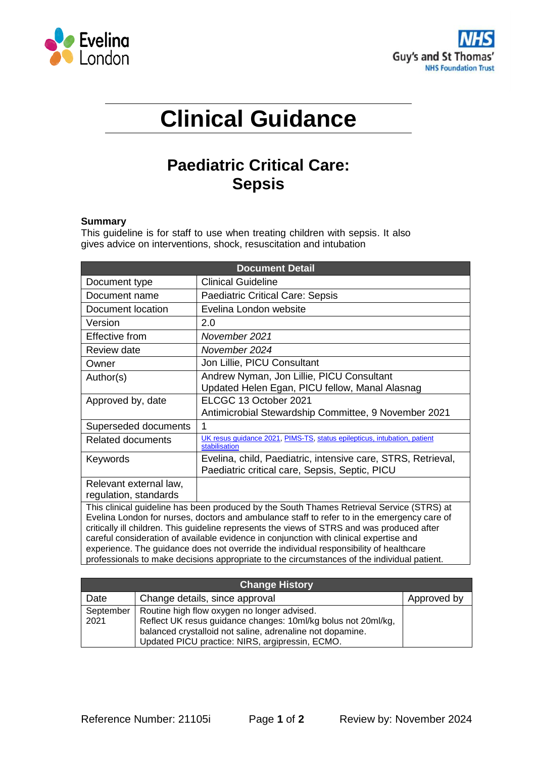



# **Clinical Guidance**

# **Paediatric Critical Care: Sepsis**

# **Summary**

This guideline is for staff to use when treating children with sepsis. It also gives advice on interventions, shock, resuscitation and intubation

| <b>Document Detail</b>                                                                                                                                                                                                                                                                                                                                                                                                                                                      |                                                                                                                |  |
|-----------------------------------------------------------------------------------------------------------------------------------------------------------------------------------------------------------------------------------------------------------------------------------------------------------------------------------------------------------------------------------------------------------------------------------------------------------------------------|----------------------------------------------------------------------------------------------------------------|--|
| Document type                                                                                                                                                                                                                                                                                                                                                                                                                                                               | <b>Clinical Guideline</b>                                                                                      |  |
| Document name                                                                                                                                                                                                                                                                                                                                                                                                                                                               | <b>Paediatric Critical Care: Sepsis</b>                                                                        |  |
| Document location                                                                                                                                                                                                                                                                                                                                                                                                                                                           | Evelina London website                                                                                         |  |
| Version                                                                                                                                                                                                                                                                                                                                                                                                                                                                     | 2.0                                                                                                            |  |
| Effective from                                                                                                                                                                                                                                                                                                                                                                                                                                                              | November 2021                                                                                                  |  |
| Review date                                                                                                                                                                                                                                                                                                                                                                                                                                                                 | November 2024                                                                                                  |  |
| Owner                                                                                                                                                                                                                                                                                                                                                                                                                                                                       | Jon Lillie, PICU Consultant                                                                                    |  |
| Author(s)                                                                                                                                                                                                                                                                                                                                                                                                                                                                   | Andrew Nyman, Jon Lillie, PICU Consultant<br>Updated Helen Egan, PICU fellow, Manal Alasnag                    |  |
| Approved by, date                                                                                                                                                                                                                                                                                                                                                                                                                                                           | ELCGC 13 October 2021                                                                                          |  |
|                                                                                                                                                                                                                                                                                                                                                                                                                                                                             | Antimicrobial Stewardship Committee, 9 November 2021                                                           |  |
| Superseded documents                                                                                                                                                                                                                                                                                                                                                                                                                                                        | 1                                                                                                              |  |
| <b>Related documents</b>                                                                                                                                                                                                                                                                                                                                                                                                                                                    | UK resus guidance 2021, PIMS-TS, status epilepticus, intubation, patient<br>stabilisation                      |  |
| Keywords                                                                                                                                                                                                                                                                                                                                                                                                                                                                    | Evelina, child, Paediatric, intensive care, STRS, Retrieval,<br>Paediatric critical care, Sepsis, Septic, PICU |  |
| Relevant external law,                                                                                                                                                                                                                                                                                                                                                                                                                                                      |                                                                                                                |  |
| regulation, standards                                                                                                                                                                                                                                                                                                                                                                                                                                                       |                                                                                                                |  |
| This clinical guideline has been produced by the South Thames Retrieval Service (STRS) at<br>Evelina London for nurses, doctors and ambulance staff to refer to in the emergency care of<br>critically ill children. This guideline represents the views of STRS and was produced after<br>careful consideration of available evidence in conjunction with clinical expertise and<br>experience. The guidance does not override the individual responsibility of healthcare |                                                                                                                |  |
| professionals to make decisions appropriate to the circumstances of the individual patient.                                                                                                                                                                                                                                                                                                                                                                                 |                                                                                                                |  |

| <b>Change History</b> |                                                               |             |  |
|-----------------------|---------------------------------------------------------------|-------------|--|
| Date                  | Change details, since approval                                | Approved by |  |
| September             | Routine high flow oxygen no longer advised.                   |             |  |
| 2021                  | Reflect UK resus guidance changes: 10ml/kg bolus not 20ml/kg, |             |  |
|                       | balanced crystalloid not saline, adrenaline not dopamine.     |             |  |
|                       | Updated PICU practice: NIRS, argipressin, ECMO.               |             |  |